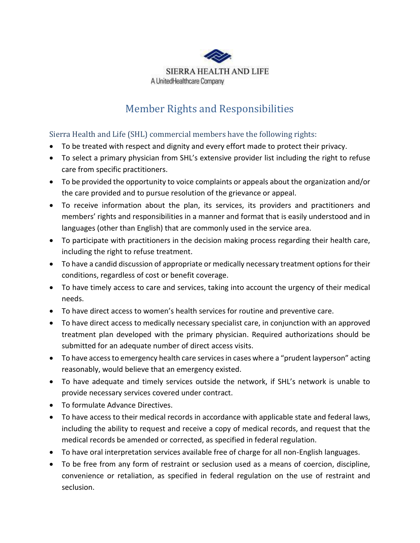

## Member Rights and Responsibilities

Sierra Health and Life (SHL) commercial members have the following rights:

- To be treated with respect and dignity and every effort made to protect their privacy.
- To select a primary physician from SHL's extensive provider list including the right to refuse care from specific practitioners.
- To be provided the opportunity to voice complaints or appeals about the organization and/or the care provided and to pursue resolution of the grievance or appeal.
- To receive information about the plan, its services, its providers and practitioners and members' rights and responsibilities in a manner and format that is easily understood and in languages (other than English) that are commonly used in the service area.
- To participate with practitioners in the decision making process regarding their health care, including the right to refuse treatment.
- To have a candid discussion of appropriate or medically necessary treatment options for their conditions, regardless of cost or benefit coverage.
- To have timely access to care and services, taking into account the urgency of their medical needs.
- To have direct access to women's health services for routine and preventive care.
- To have direct access to medically necessary specialist care, in conjunction with an approved treatment plan developed with the primary physician. Required authorizations should be submitted for an adequate number of direct access visits.
- To have access to emergency health care services in cases where a "prudent layperson" acting reasonably, would believe that an emergency existed.
- To have adequate and timely services outside the network, if SHL's network is unable to provide necessary services covered under contract.
- To formulate Advance Directives.
- To have access to their medical records in accordance with applicable state and federal laws, including the ability to request and receive a copy of medical records, and request that the medical records be amended or corrected, as specified in federal regulation.
- To have oral interpretation services available free of charge for all non-English languages.
- To be free from any form of restraint or seclusion used as a means of coercion, discipline, convenience or retaliation, as specified in federal regulation on the use of restraint and seclusion.